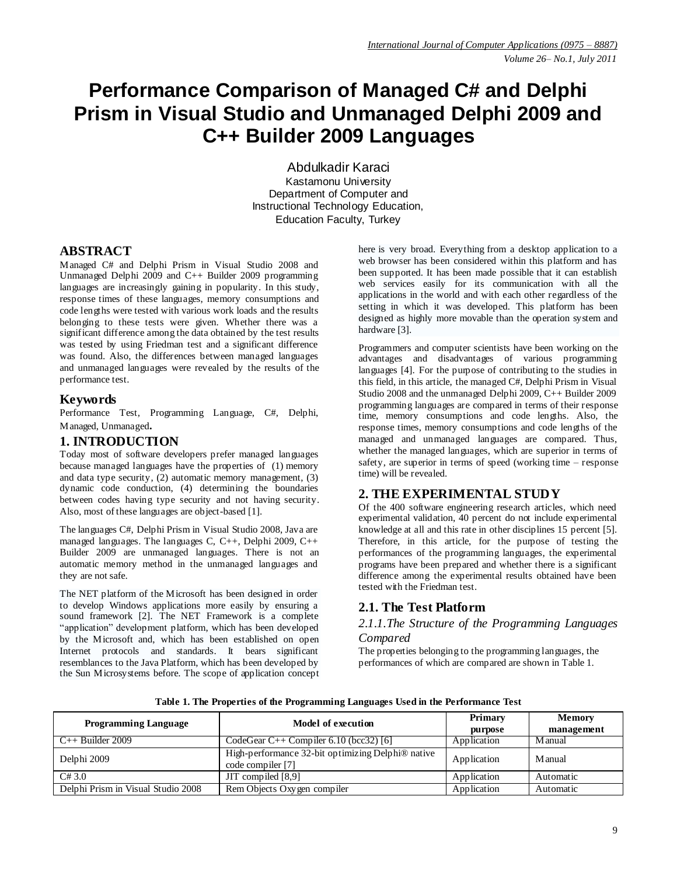# **Performance Comparison of Managed C# and Delphi Prism in Visual Studio and Unmanaged Delphi 2009 and C++ Builder 2009 Languages**

Abdulkadir Karaci Kastamonu University Department of Computer and Instructional Technology Education, Education Faculty, Turkey

## **ABSTRACT**

Managed C# and Delphi Prism in Visual Studio 2008 and Unmanaged Delphi 2009 and  $C_{++}$  Builder 2009 programming languages are increasingly gaining in popularity. In this study, response times of these languages, memory consumptions and code lengths were tested with various work loads and the results belonging to these tests were given. Whether there was a significant difference among the data obtained by the test results was tested by using Friedman test and a significant difference was found. Also, the differences between managed languages and unmanaged languages were revealed by the results of the performance test.

# **Keywords**

Performance Test, Programming Language, C#, Delphi, Managed, Unmanaged**.**

# **1. INTRODUCTION**

Today most of software developers prefer managed languages because managed languages have the properties of (1) memory and data type security, (2) automatic memory management, (3) dynamic code conduction, (4) determining the boundaries between codes having type security and not having security. Also, most of these languages are object-based [1].

The languages C#, Delphi Prism in Visual Studio 2008, Java are managed languages. The languages C, C++, Delphi 2009, C++ Builder 2009 are unmanaged languages. There is not an automatic memory method in the unmanaged languages and they are not safe.

The NET platform of the Microsoft has been designed in order to develop Windows applications more easily by ensuring a sound framework [2]. The NET Framework is a complete "application" development platform, which has been developed by the Microsoft and, which has been established on open Internet protocols and standards. It bears significant resemblances to the Java Platform, which has been developed by the Sun Microsystems before. The scope of application concept here is very broad. Everything from a desktop application to a web browser has been considered within this platform and has been supported. It has been made possible that it can establish web services easily for its communication with all the applications in the world and with each other regardless of the setting in which it was developed. This platform has been designed as highly more movable than the operation system and hardware [3].

Programmers and computer scientists have been working on the advantages and disadvantages of various programming languages [4]. For the purpose of contributing to the studies in this field, in this article, the managed C#, Delphi Prism in Visual Studio 2008 and the unmanaged Delphi 2009, C++ Builder 2009 programming languages are compared in terms of their response time, memory consumptions and code lengths. Also, the response times, memory consumptions and code lengths of the managed and unmanaged languages are compared. Thus, whether the managed languages, which are superior in terms of safety, are superior in terms of speed (working time – response time) will be revealed.

# **2. THE EXPERIMENTAL STUDY**

Of the 400 software engineering research articles, which need experimental validation, 40 percent do not include experimental knowledge at all and this rate in other disciplines 15 percent [5]. Therefore, in this article, for the purpose of testing the performances of the programming languages, the experimental programs have been prepared and whether there is a significant difference among the experimental results obtained have been tested with the Friedman test.

# **2.1. The Test Platform**

### *2.1.1.The Structure of the Programming Languages Compared*

The properties belonging to the programming languages, the performances of which are compared are shown in Table 1.

| <b>Programming Language</b>        | Model of execution                                                                 | Primary<br>purpose | <b>Memory</b><br>management |  |
|------------------------------------|------------------------------------------------------------------------------------|--------------------|-----------------------------|--|
| $C_{++}$ Builder 2009              | CodeGear C++ Compiler 6.10 (bcc32) [6]                                             | Application        | <b>M</b> anual              |  |
| Delphi 2009                        | High-performance 32-bit optimizing Delphi <sup>®</sup> native<br>code compiler [7] | Application        | <b>M</b> anual              |  |
| C#3.0                              | JIT compiled [8,9]                                                                 | Application        | Automatic                   |  |
| Delphi Prism in Visual Studio 2008 | Rem Objects Oxygen compiler                                                        | Application        | Automatic                   |  |

**Table 1. The Properties of the Programming Languages Used in the Performance Test**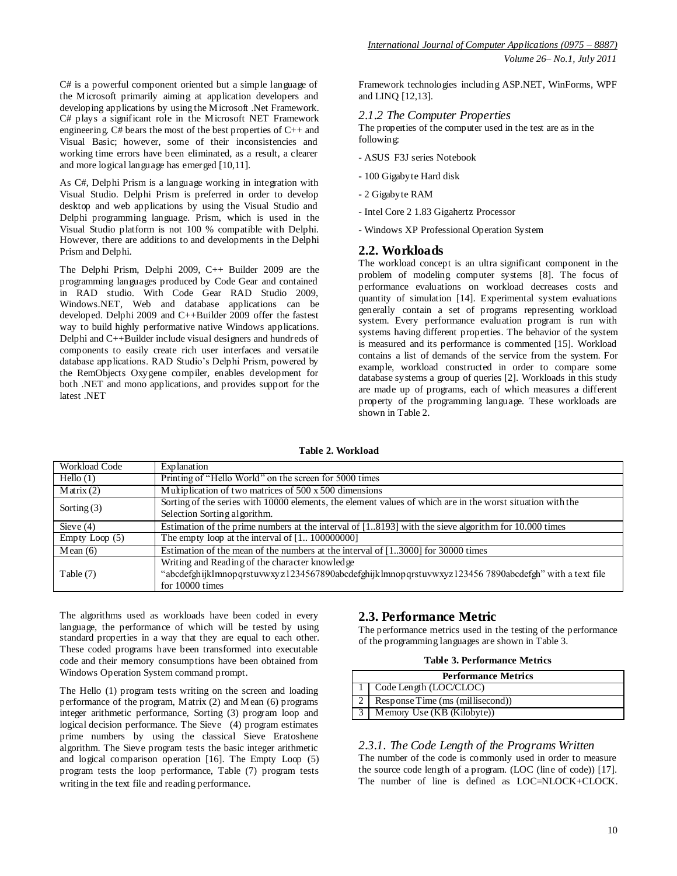As C#, Delphi Prism is a language working in integration with Visual Studio. Delphi Prism is preferred in order to develop desktop and web applications by using the Visual Studio and Delphi programming language. Prism, which is used in the Visual Studio platform is not 100 % compatible with Delphi. However, there are additions to and developments in the Delphi Prism and Delphi.

The Delphi Prism, Delphi 2009, C++ Builder 2009 are the programming languages produced by Code Gear and contained in RAD studio. With Code Gear RAD Studio 2009, Windows.NET, Web and database applications can be developed. Delphi 2009 and C++Builder 2009 offer the fastest way to build highly performative native Windows applications. Delphi and C++Builder include visual designers and hundreds of components to easily create rich user interfaces and versatile database applications. RAD Studio's Delphi Prism, powered by the RemObjects Oxygene compiler, enables development for both .NET and mono applications, and provides support for the latest .NET

Framework technologies including ASP.NET, WinForms, WPF and LINQ [12,13].

### *2.1.2 The Computer Properties*

The properties of the computer used in the test are as in the following:

- ASUS F3J series Notebook
- 100 Gigabyte Hard disk
- 2 Gigabyte RAM
- Intel Core 2 1.83 Gigahertz Processor
- Windows XP Professional Operation System

### **2.2. Workloads**

The workload concept is an ultra significant component in the problem of modeling computer systems [8]. The focus of performance evaluations on workload decreases costs and quantity of simulation [14]. Experimental system evaluations generally contain a set of programs representing workload system. Every performance evaluation program is run with systems having different properties. The behavior of the system is measured and its performance is commented [15]. Workload contains a list of demands of the service from the system. For example, workload constructed in order to compare some database systems a group of queries [2]. Workloads in this study are made up of programs, each of which measures a different property of the programming language. These workloads are shown in Table 2.

| <b>Workload Code</b> | Explanation                                                                                                |
|----------------------|------------------------------------------------------------------------------------------------------------|
| Hello $(1)$          | Printing of "Hello World" on the screen for 5000 times                                                     |
| $M \arix(2)$         | Multiplication of two matrices of 500 x 500 dimensions                                                     |
|                      | Sorting of the series with 10000 elements, the element values of which are in the worst situation with the |
| Sorting $(3)$        | Selection Sorting algorithm.                                                                               |
| Sieve $(4)$          | Estimation of the prime numbers at the interval of $[18193]$ with the sieve algorithm for 10.000 times     |
| Empty Loop (5)       | The empty loop at the interval of $[1 100000000]$                                                          |
| Mean(6)              | Estimation of the mean of the numbers at the interval of $[13000]$ for 30000 times                         |
|                      | Writing and Reading of the character knowledge                                                             |
| Table (7)            | "abcdefghijklmnopqrstuvwxyz1234567890abcdefghijklmnopqrstuvwxyz1234567890abcdefgh" with a text file        |
|                      | for 10000 times                                                                                            |

**Table 2. Workload**

The algorithms used as workloads have been coded in every language, the performance of which will be tested by using standard properties in a way that they are equal to each other. These coded programs have been transformed into executable code and their memory consumptions have been obtained from Windows Operation System command prompt.

The Hello (1) program tests writing on the screen and loading performance of the program, Matrix (2) and Mean (6) programs integer arithmetic performance, Sorting (3) program loop and logical decision performance. The Sieve (4) program estimates prime numbers by using the classical Sieve Eratoshene algorithm. The Sieve program tests the basic integer arithmetic and logical comparison operation [16]. The Empty Loop (5) program tests the loop performance, Table (7) program tests writing in the text file and reading performance.

# **2.3. Performance Metric**

The performance metrics used in the testing of the performance of the programming languages are shown in Table 3.

#### **Table 3. Performance Metrics**

| <b>Performance Metrics</b>       |  |  |  |  |  |  |  |
|----------------------------------|--|--|--|--|--|--|--|
| 1 Code Length (LOC/CLOC)         |  |  |  |  |  |  |  |
| Response Time (ms (millisecond)) |  |  |  |  |  |  |  |
| Memory Use (KB (Kilobyte))       |  |  |  |  |  |  |  |

### *2.3.1. The Code Length of the Programs Written*

The number of the code is commonly used in order to measure the source code length of a program. (LOC (line of code)) [17]. The number of line is defined as LOC=NLOCK+CLOCK.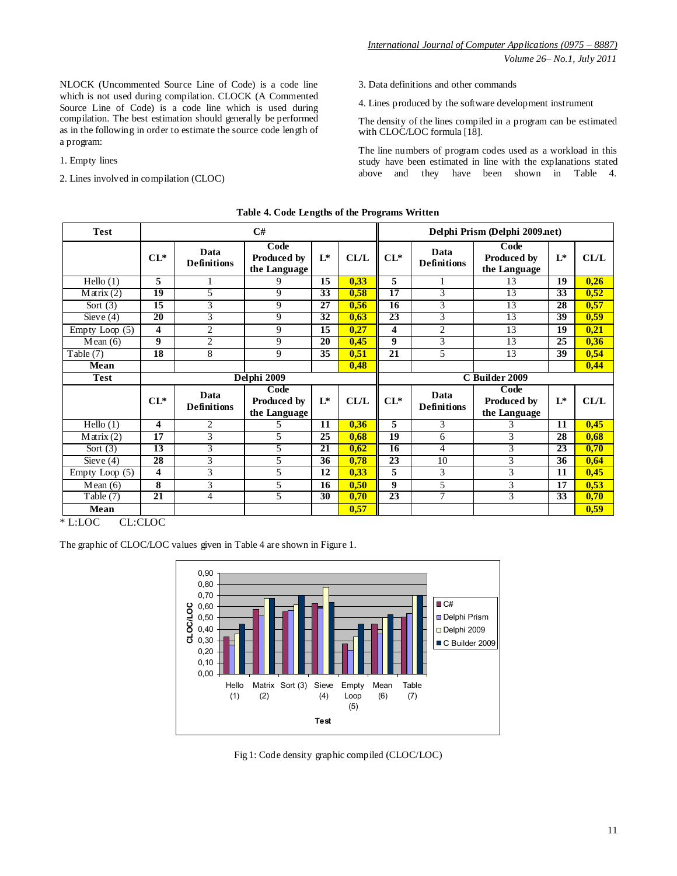*Volume 26– No.1, July 2011*

NLOCK (Uncommented Source Line of Code) is a code line which is not used during compilation. CLOCK (A Commented Source Line of Code) is a code line which is used during compilation. The best estimation should generally be performed as in the following in order to estimate the source code length of a program:

1. Empty lines

2. Lines involved in compilation (CLOC)

3. Data definitions and other commands

4. Lines produced by the software development instrument

The density of the lines compiled in a program can be estimated with CLOC/LOC formula [18].

The line numbers of program codes used as a workload in this study have been estimated in line with the explanations stated above and they have been shown in Table 4.

| <b>Test</b>      | C#              |                            |                                            |                 | Delphi Prism (Delphi 2009.net) |                 |                            |                                            |                 |             |
|------------------|-----------------|----------------------------|--------------------------------------------|-----------------|--------------------------------|-----------------|----------------------------|--------------------------------------------|-----------------|-------------|
|                  | $CL^*$          | Data<br><b>Definitions</b> | Code<br><b>Produced by</b><br>the Language | $L^*$           | CL/L                           | $CL^*$          | Data<br><b>Definitions</b> | Code<br><b>Produced by</b><br>the Language | $L^*$           | CL/L        |
| Hello $(1)$      | 5               |                            | 9                                          | 15              | 0,33                           | 5               |                            | 13                                         | 19              | 0,26        |
| $M \arix(2)$     | $\overline{19}$ | 5                          | 9                                          | 33              | 0,58                           | $\overline{17}$ | 3                          | 13                                         | 33              | 0,52        |
| Sort $(3)$       | 15              | 3                          | 9                                          | 27              | 0,56                           | 16              | 3                          | 13                                         | 28              | 0,57        |
| Sieve $(4)$      | 20              | 3                          | 9                                          | 32              | 0,63                           | 23              | 3                          | 13                                         | 39              | 0,59        |
| Empty Loop $(5)$ | 4               | $\overline{2}$             | 9                                          | 15              | 0,27                           | 4               | $\overline{2}$             | 13                                         | 19              | 0,21        |
| Mean(6)          | 9               | $\overline{2}$             | 9                                          | $\overline{20}$ | 0,45                           | $\overline{9}$  | 3                          | 13                                         | 25              | 0,36        |
| Table (7)        | 18              | 8                          | 9                                          | 35              | 0,51                           | 21              | 5                          | 13                                         | 39              | 0,54        |
| Mean             |                 |                            |                                            |                 | 0,48                           |                 |                            |                                            |                 | 0,44        |
| <b>Test</b>      |                 |                            | Delphi 2009                                |                 |                                | C Builder 2009  |                            |                                            |                 |             |
|                  | $CL^*$          | Data<br><b>Definitions</b> | Code<br><b>Produced by</b><br>the Language | $L^*$           | CL/L                           | $CL^*$          | Data<br><b>Definitions</b> | Code<br><b>Produced by</b><br>the Language | $L^*$           | <b>CL/L</b> |
| Hello $(1)$      | 4               | 2                          | 5                                          | $\overline{11}$ | 0,36                           | 5               | 3                          | 3                                          | $\overline{11}$ | 0,45        |
| $M \arix(2)$     | 17              | 3                          | 5                                          | 25              | 0.68                           | 19              | 6                          | 3                                          | 28              | 0,68        |
| Sort $(3)$       | 13              | 3                          | 5                                          | 21              | 0,62                           | $\overline{16}$ | 4                          | 3                                          | 23              | 0,70        |
| Sieve $(4)$      | 28              | 3                          | 5                                          | 36              | 0,78                           | 23              | 10                         | 3                                          | 36              | 0,64        |
| Empty Loop $(5)$ | 4               | 3                          | 5                                          | 12              | 0,33                           | 5               | 3                          | 3                                          | 11              | 0,45        |
| Mean(6)          | 8               | 3                          | 5                                          | 16              | 0,50                           | 9               | 5                          | 3                                          | 17              | 0,53        |
| Table (7)        | 21              | $\overline{4}$             | 5                                          | 30              | 0,70                           | 23              | $\overline{7}$             | 3                                          | 33              | 0,70        |
| Mean             |                 |                            |                                            |                 | 0,57                           |                 |                            |                                            |                 | 0,59        |

|  |  | Table 4. Code Lengths of the Programs Written |  |
|--|--|-----------------------------------------------|--|
|  |  |                                               |  |

\* L:LOC CL:CLOC

The graphic of CLOC/LOC values given in Table 4 are shown in Figure 1.



Fig 1: Code density graphic compiled (CLOC/LOC)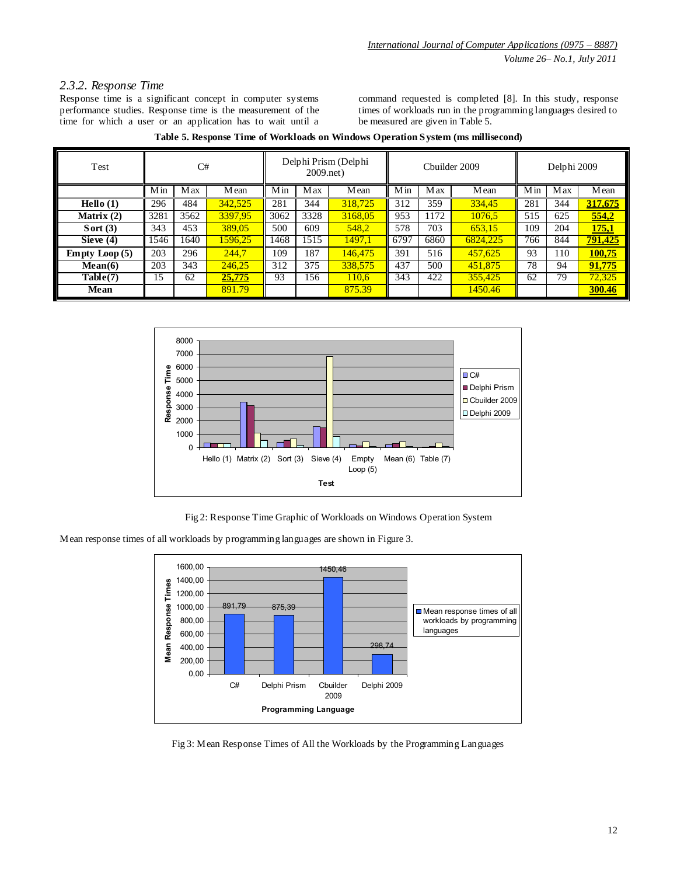# *2.3.2. Response Time*

Response time is a significant concept in computer systems performance studies. Response time is the measurement of the time for which a user or an application has to wait until a

command requested is completed [8]. In this study, response times of workloads run in the programming languages desired to be measured are given in Table 5.

| Test                         | C#   |            |         | Delphi Prism (Delphi<br>$2009$ .net) |            | Chuilder 2009 |      |      | Delphi 2009 |     |                 |         |
|------------------------------|------|------------|---------|--------------------------------------|------------|---------------|------|------|-------------|-----|-----------------|---------|
|                              | Min  | <b>Max</b> | Mean    | Min                                  | <b>Max</b> | Mean          | Min  | Max  | Mean        | Min | Max             | Mean    |
| $\overline{\text{Hello}}(1)$ | 296  | 484        | 342.525 | 281                                  | 344        | 318.725       | 312  | 359  | 334,45      | 281 | 344             | 317,675 |
| Matrix $(2)$                 | 3281 | 3562       | 3397.95 | 3062                                 | 3328       | 3168.05       | 953  | 1172 | 1076.5      | 515 | 625             | 554,2   |
| Sort $(3)$                   | 343  | 453        | 389,05  | 500                                  | 609        | 548.2         | 578  | 703  | 653.15      | 109 | 204             | 175,1   |
| Sieve $(4)$                  | 1546 | 1640       | 1596,25 | 1468                                 | 1515       | 1497.1        | 6797 | 6860 | 6824.225    | 766 | 844             | 791,425 |
| <b>Empty Loop</b> $(5)$      | 203  | 296        | 244.7   | 109                                  | 187        | 146,475       | 391  | 516  | 457.625     | 93  | 110             | 100,75  |
| Mean(6)                      | 203  | 343        | 246.25  | 312                                  | 375        | 338,575       | 437  | 500  | 451,875     | 78  | 94              | 91,775  |
| Table(7)                     | 15   | 62         | 25,775  | 93                                   | 156        | 110.6         | 343  | 422  | 355,425     | 62  | $7\overline{9}$ | 72,325  |
| Mean                         |      |            | 891.79  |                                      |            | 875.39        |      |      | 1450.46     |     |                 | 300.46  |







Mean response times of all workloads by programming languages are shown in Figure 3.



Fig 3: Mean Response Times of All the Workloads by the Programming Languages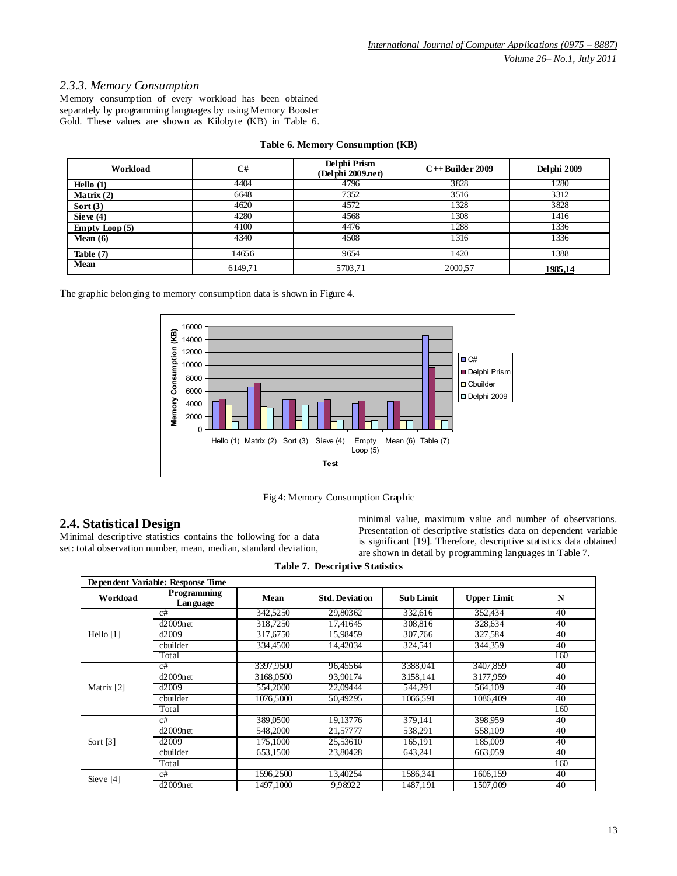### *2.3.3. Memory Consumption*

Memory consumption of every workload has been obtained separately by programming languages by using Memory Booster Gold. These values are shown as Kilobyte (KB) in Table 6.

| Workload                | C#      | Delphi Prism<br>(Delphi 2009.net) | $C++$ Builder 2009 | Delphi 2009 |
|-------------------------|---------|-----------------------------------|--------------------|-------------|
| Hello $(1)$             | 4404    | 4796                              | 3828               | 1280        |
| Matrix $(2)$            | 6648    | 7352                              | 3516               | 3312        |
| Sort $(3)$              | 4620    | 4572                              | 1328               | 3828        |
| Sie ve $(4)$            | 4280    | 4568                              | 1308               | 1416        |
| <b>Empty</b> Loop $(5)$ | 4100    | 4476                              | 1288               | 1336        |
| Mean $(6)$              | 4340    | 4508                              | 1316               | 1336        |
| Table $(7)$             | 14656   | 9654                              | 1420               | 1388        |
| Mean                    | 6149,71 | 5703,71                           | 2000,57            | 1985,14     |

### **Table 6. Memory Consumption (KB)**

The graphic belonging to memory consumption data is shown in Figure 4.



Fig 4: Memory Consumption Graphic

# **2.4. Statistical Design**

Minimal descriptive statistics contains the following for a data set: total observation number, mean, median, standard deviation,

minimal value, maximum value and number of observations. Presentation of descriptive statistics data on dependent variable is significant [19]. Therefore, descriptive statistics data obtained are shown in detail by programming languages in Table 7.

**Table 7. Descriptive Statistics**

| Dependent Variable: Response Time |                                |             |                       |                  |                    |     |  |  |  |
|-----------------------------------|--------------------------------|-------------|-----------------------|------------------|--------------------|-----|--|--|--|
| Workload                          | <b>Programming</b><br>Language | <b>Mean</b> | <b>Std. Deviation</b> | <b>Sub Limit</b> | <b>Upper Limit</b> | N   |  |  |  |
|                                   | c#                             | 342,5250    | 29.80362              | 332,616          | 352,434            | 40  |  |  |  |
|                                   | $d2009$ net                    | 318,7250    | 17.41645              | 308,816          | 328,634            | 40  |  |  |  |
| Hello $[1]$                       | d2009                          | 317,6750    | 15.98459              | 307,766          | 327,584            | 40  |  |  |  |
|                                   | cbuilder                       | 334,4500    | 14.42034              | 324,541          | 344.359            | 40  |  |  |  |
|                                   | Total                          |             |                       |                  |                    | 160 |  |  |  |
|                                   | c#                             | 3397.9500   | 96.45564              | 3388,041         | 3407.859           | 40  |  |  |  |
|                                   | $d2009$ net                    | 3168,0500   | 93.90174              | 3158,141         | 3177.959           | 40  |  |  |  |
| Matrix [2]                        | d2009                          | 554,2000    | 22,09444              | 544.291          | 564,109            | 40  |  |  |  |
|                                   | cbuilder                       | 1076,5000   | 50,49295              | 1066,591         | 1086,409           | 40  |  |  |  |
|                                   | Total                          |             |                       |                  |                    | 160 |  |  |  |
|                                   | c#                             | 389,0500    | 19.13776              | 379.141          | 398,959            | 40  |  |  |  |
|                                   | $d2009$ net                    | 548,2000    | 21,57777              | 538.291          | 558,109            | 40  |  |  |  |
| Sort $[3]$                        | d2009                          | 175,1000    | 25,53610              | 165,191          | 185,009            | 40  |  |  |  |
|                                   | cbuilder                       | 653,1500    | 23,80428              | 643.241          | 663,059            | 40  |  |  |  |
|                                   | Total                          |             |                       |                  |                    | 160 |  |  |  |
| Sieve [4]                         | c#                             | 1596,2500   | 13,40254              | 1586,341         | 1606,159           | 40  |  |  |  |
|                                   | $d2009$ net                    | 1497.1000   | 9.98922               | 1487.191         | 1507.009           | 40  |  |  |  |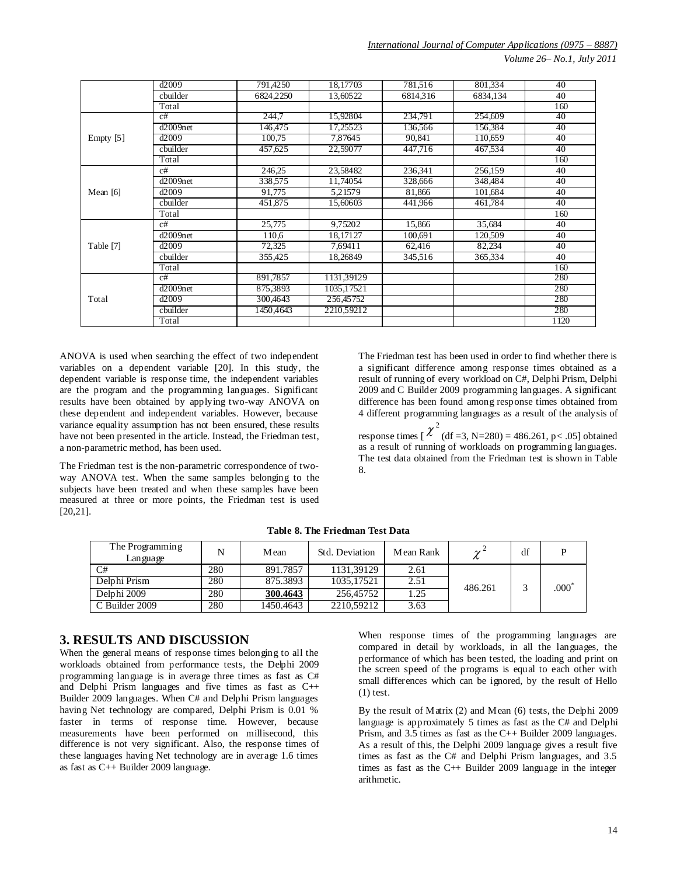*International Journal of Computer Applications (0975 – 8887)*

*Volume 26– No.1, July 2011*

|             | d2009       | 791,4250  | 18,17703   | 781,516  | 801,334  | 40   |
|-------------|-------------|-----------|------------|----------|----------|------|
|             | chuilder    | 6824.2250 | 13,60522   | 6814.316 | 6834.134 | 40   |
|             | Total       |           |            |          |          | 160  |
|             | c#          | 244,7     | 15,92804   | 234,791  | 254,609  | 40   |
|             | $d2009$ net | 146.475   | 17,25523   | 136,566  | 156,384  | 40   |
| Empty $[5]$ | d2009       | 100.75    | 7.87645    | 90.841   | 110.659  | 40   |
|             | cbuilder    | 457,625   | 22,59077   | 447,716  | 467,534  | 40   |
|             | Total       |           |            |          |          | 160  |
|             | c#          | 246,25    | 23,58482   | 236,341  | 256,159  | 40   |
|             | $d2009$ net | 338,575   | 11.74054   | 328,666  | 348,484  | 40   |
| Mean $[6]$  | d2009       | 91,775    | 5,21579    | 81,866   | 101,684  | 40   |
|             | cbuilder    | 451.875   | 15,60603   | 441,966  | 461.784  | 40   |
|             | Total       |           |            |          |          | 160  |
|             | c#          | 25,775    | 9,75202    | 15,866   | 35,684   | 40   |
|             | $d2009$ net | 110,6     | 18,17127   | 100,691  | 120,509  | 40   |
| Table [7]   | d2009       | 72,325    | 7.69411    | 62,416   | 82,234   | 40   |
|             | cbuilder    | 355.425   | 18.26849   | 345,516  | 365,334  | 40   |
|             | Total       |           |            |          |          | 160  |
|             | c#          | 891,7857  | 1131,39129 |          |          | 280  |
|             | $d2009$ net | 875,3893  | 1035,17521 |          |          | 280  |
| Total       | d2009       | 300,4643  | 256,45752  |          |          | 280  |
|             | cbuilder    | 1450,4643 | 2210,59212 |          |          | 280  |
|             | Total       |           |            |          |          | 1120 |

ANOVA is used when searching the effect of two independent variables on a dependent variable [20]. In this study, the dependent variable is response time, the independent variables are the program and the programming languages. Significant results have been obtained by applying two-way ANOVA on these dependent and independent variables. However, because variance equality assumption has not been ensured, these results have not been presented in the article. Instead, the Friedman test, a non-parametric method, has been used.

The Friedman test is the non-parametric correspondence of twoway ANOVA test. When the same samples belonging to the subjects have been treated and when these samples have been measured at three or more points, the Friedman test is used [20,21].

The Friedman test has been used in order to find whether there is a significant difference among response times obtained as a result of running of every workload on C#, Delphi Prism, Delphi 2009 and C Builder 2009 programming languages. A significant difference has been found among response times obtained from 4 different programming languages as a result of the analysis of

response times [  $\chi^2$  (df =3, N=280) = 486.261, p < .05] obtained as a result of running of workloads on programming languages. The test data obtained from the Friedman test is shown in Table 8.

| The Programming<br>Lan gua ge |     | M ean     | Std. Deviation | Mean Rank | $\overline{ }$ | df |         |
|-------------------------------|-----|-----------|----------------|-----------|----------------|----|---------|
| C#                            | 280 | 891.7857  | 1131.39129     | 2.61      |                |    |         |
| Delphi Prism                  | 280 | 875.3893  | 1035.17521     | 2.51      | 486.261        |    | $.000*$ |
| Delphi 2009                   | 280 | 300.4643  | 256,45752      | 1.25      |                |    |         |
| C Builder 2009                | 280 | 1450.4643 | 2210.59212     | 3.63      |                |    |         |

**Table 8. The Friedman Test Data**

## **3. RESULTS AND DISCUSSION**

When the general means of response times belonging to all the workloads obtained from performance tests, the Delphi 2009 programming language is in average three times as fast as C# and Delphi Prism languages and five times as fast as C++ Builder 2009 languages. When C# and Delphi Prism languages having Net technology are compared, Delphi Prism is 0.01 % faster in terms of response time. However, because measurements have been performed on millisecond, this difference is not very significant. Also, the response times of these languages having Net technology are in average 1.6 times as fast as C++ Builder 2009 language.

When response times of the programming languages are compared in detail by workloads, in all the languages, the performance of which has been tested, the loading and print on the screen speed of the programs is equal to each other with small differences which can be ignored, by the result of Hello (1) test.

By the result of Matrix (2) and Mean (6) tests, the Delphi 2009 language is approximately 5 times as fast as the C# and Delphi Prism, and 3.5 times as fast as the C++ Builder 2009 languages. As a result of this, the Delphi 2009 language gives a result five times as fast as the C# and Delphi Prism languages, and 3.5 times as fast as the  $C++$  Builder 2009 language in the integer arithmetic.